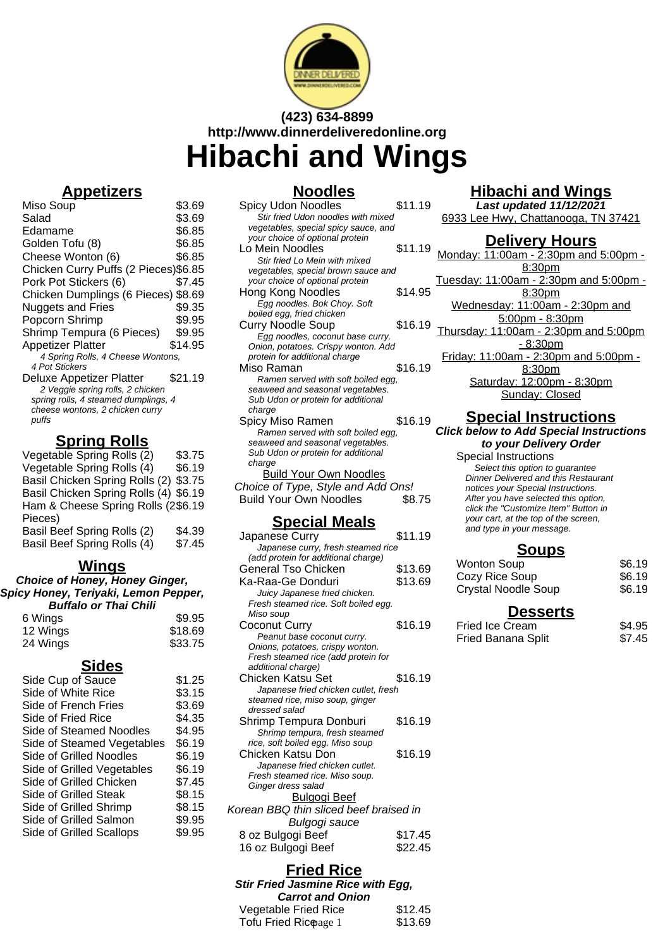

# **(423) 634-8899 http://www.dinnerdeliveredonline.org Hibachi and Wings**

**Noodles**

### **Appetizers**

Miso Soup<br>Salad \$3.69<br>Salad \$3.69 Salad \$3.69<br>Edamame \$6.85 Edamame<br>Golden Tofu (8) 66.85 Golden Tofu (8) Cheese Wonton (6) \$6.85 Chicken Curry Puffs (2 Pieces) \$6.85<br>Pork Pot Stickers (6) \$7.45 Pork Pot Stickers (6) Chicken Dumplings (6 Pieces) \$8.69 Nuggets and Fries \$9.35 Popcorn Shrimp \$9.95 Shrimp Tempura (6 Pieces) \$9.95 Appetizer Platter \$14.95 4 Spring Rolls, 4 Cheese Wontons, 4 Pot Stickers Deluxe Appetizer Platter \$21.19 2 Veggie spring rolls, 2 chicken spring rolls, 4 steamed dumplings, 4 cheese wontons, 2 chicken curry puffs

## **Spring Rolls**

| Vegetable Spring Rolls (2)            | \$3.75 |
|---------------------------------------|--------|
| Vegetable Spring Rolls (4)            | \$6.19 |
| Basil Chicken Spring Rolls (2) \$3.75 |        |
| Basil Chicken Spring Rolls (4) \$6.19 |        |
| Ham & Cheese Spring Rolls (2\$6.19    |        |
| Pieces)                               |        |
| Basil Beef Spring Rolls (2)           | \$4.39 |
| Basil Beef Spring Rolls (4)           | \$7.45 |

#### **Wings**

**Choice of Honey, Honey Ginger, Spicy Honey, Teriyaki, Lemon Pepper, Buffalo or Thai Chili**

| 6 Wings  | \$9.95  |
|----------|---------|
| 12 Wings | \$18.69 |
| 24 Wings | \$33.75 |

#### **Sides**

| Side Cup of Sauce          | \$1.25 |
|----------------------------|--------|
| Side of White Rice         | \$3.15 |
| Side of French Fries       | \$3.69 |
| Side of Fried Rice         | \$4.35 |
| Side of Steamed Noodles    | \$4.95 |
| Side of Steamed Vegetables | \$6.19 |
| Side of Grilled Noodles    | \$6.19 |
| Side of Grilled Vegetables | \$6.19 |
| Side of Grilled Chicken    | \$7.45 |
| Side of Grilled Steak      | \$8.15 |
| Side of Grilled Shrimp     | \$8.15 |
| Side of Grilled Salmon     | \$9.95 |
| Side of Grilled Scallops   | \$9.95 |
|                            |        |

| Spicy Udon Noodles                   | \$11.19 |  |
|--------------------------------------|---------|--|
| Stir fried Udon noodles with mixed   |         |  |
| vegetables, special spicy sauce, and |         |  |
| your choice of optional protein      |         |  |
| Lo Mein Noodles                      | \$11.19 |  |
| Stir fried I o Mein with mixed       |         |  |
| vegetables, special brown sauce and  |         |  |
| your choice of optional protein      |         |  |
| Hong Kong Noodles                    | \$14.95 |  |
| Egg noodles. Bok Choy. Soft          |         |  |
| boiled egg, fried chicken            |         |  |
| <b>Curry Noodle Soup</b>             | \$16.19 |  |
| Egg noodles, coconut base curry.     |         |  |
| Onion, potatoes. Crispy wonton. Add  |         |  |
| protein for additional charge        |         |  |
| Miso Raman                           | \$16.19 |  |
| Ramen served with soft boiled egg,   |         |  |
| seaweed and seasonal vegetables.     |         |  |
| Sub Udon or protein for additional   |         |  |
| charge                               |         |  |
| Spicy Miso Ramen                     | \$16.19 |  |
| Ramen served with soft boiled egg,   |         |  |
| seaweed and seasonal vegetables.     |         |  |
| Sub Udon or protein for additional   |         |  |
| charge                               |         |  |
| <b>Build Your Own Noodles</b>        |         |  |
| Choice of Type, Style and Add Ons!   |         |  |
| <b>Build Your Own Noodles</b>        | \$8.75  |  |
|                                      |         |  |

### **Special Meals**

| Japanese Curry                         | \$11.19 |
|----------------------------------------|---------|
| Japanese curry, fresh steamed rice     |         |
| (add protein for additional charge)    |         |
| <b>General Tso Chicken</b>             | \$13.69 |
| Ka-Raa-Ge Donduri                      | \$13.69 |
| Juicy Japanese fried chicken.          |         |
| Fresh steamed rice. Soft boiled egg.   |         |
| Miso soup                              |         |
| Coconut Curry                          | \$16.19 |
| Peanut base coconut curry.             |         |
| Onions, potatoes, crispy wonton.       |         |
| Fresh steamed rice (add protein for    |         |
| additional charge)                     |         |
| Chicken Katsu Set                      | \$16.19 |
| Japanese fried chicken cutlet, fresh   |         |
| steamed rice, miso soup, ginger        |         |
| dressed salad                          |         |
| Shrimp Tempura Donburi                 | \$16.19 |
| Shrimp tempura, fresh steamed          |         |
| rice, soft boiled egg. Miso soup       |         |
| Chicken Katsu Don                      | \$16.19 |
| Japanese fried chicken cutlet.         |         |
| Fresh steamed rice. Miso soup.         |         |
| Ginger dress salad                     |         |
| <b>Bulgogi Beef</b>                    |         |
| Korean BBQ thin sliced beef braised in |         |
| Bulgogi sauce                          |         |
|                                        | \$17.45 |
| 8 oz Bulgogi Beef                      |         |
| 16 oz Bulgogi Beef                     | \$22.45 |
|                                        |         |

## **Hibachi and Wings**

**Last updated 11/12/2021** 6933 Lee Hwy, Chattanooga, TN 37421

#### **Delivery Hours**

Monday: 11:00am - 2:30pm and 5:00pm - 8:30pm Tuesday: 11:00am - 2:30pm and 5:00pm - 8:30pm Wednesday: 11:00am - 2:30pm and 5:00pm - 8:30pm Thursday: 11:00am - 2:30pm and 5:00pm - 8:30pm Friday: 11:00am - 2:30pm and 5:00pm - 8:30pm Saturday: 12:00pm - 8:30pm Sunday: Closed

## **Special Instructions**

## **Click below to Add Special Instructions**

**to your Delivery Order** Special Instructions

Select this option to quarantee Dinner Delivered and this Restaurant notices your Special Instructions. After you have selected this option, click the "Customize Item" Button in your cart, at the top of the screen, and type in your message.

#### **Soups**

| <b>Desserts</b>            |        |
|----------------------------|--------|
| <b>Crystal Noodle Soup</b> | \$6.19 |
| Cozy Rice Soup             | \$6.19 |
| <b>Wonton Soup</b>         | \$6.19 |

| Fried Ice Cream           | \$4.95 |
|---------------------------|--------|
| <b>Fried Banana Split</b> | \$7.45 |

**Stir Fried Jasmine Rice with Egg, Carrot and Onion**

| Vegetable Fried Rice  | \$12.45 |
|-----------------------|---------|
| Tofu Fried Ricopage 1 | \$13.69 |